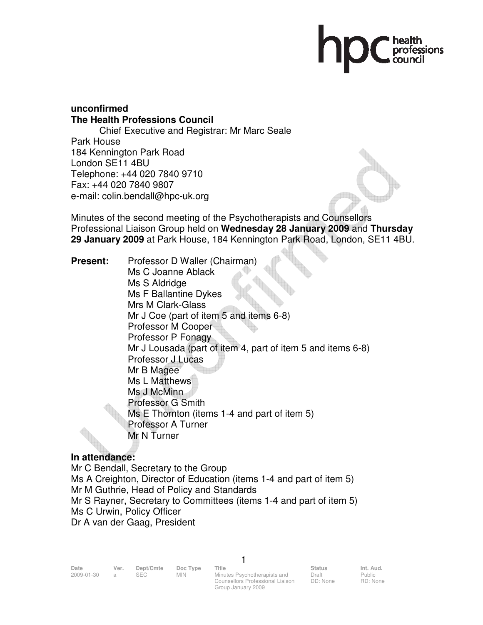# professions

## **unconfirmed The Health Professions Council**

 Chief Executive and Registrar: Mr Marc Seale Park House 184 Kennington Park Road London SE11 4BU Telephone: +44 020 7840 9710 Fax: +44 020 7840 9807 e-mail: colin.bendall@hpc-uk.org

Minutes of the second meeting of the Psychotherapists and Counsellors Professional Liaison Group held on **Wednesday 28 January 2009** and **Thursday 29 January 2009** at Park House, 184 Kennington Park Road, London, SE11 4BU.

**Present:** Professor D Waller (Chairman) Ms C Joanne Ablack Ms S Aldridge Ms F Ballantine Dykes Mrs M Clark-Glass Mr J Coe (part of item 5 and items 6-8) Professor M Cooper Professor P Fonagy Mr J Lousada (part of item 4, part of item 5 and items 6-8) Professor J Lucas Mr B Magee Ms L Matthews Ms J McMinn Professor G Smith Ms E Thornton (items 1-4 and part of item 5) Professor A Turner Mr N Turner

#### **In attendance:**

Mr C Bendall, Secretary to the Group Ms A Creighton, Director of Education (items 1-4 and part of item 5) Mr M Guthrie, Head of Policy and Standards Mr S Rayner, Secretary to Committees (items 1-4 and part of item 5) Ms C Urwin, Policy Officer Dr A van der Gaag, President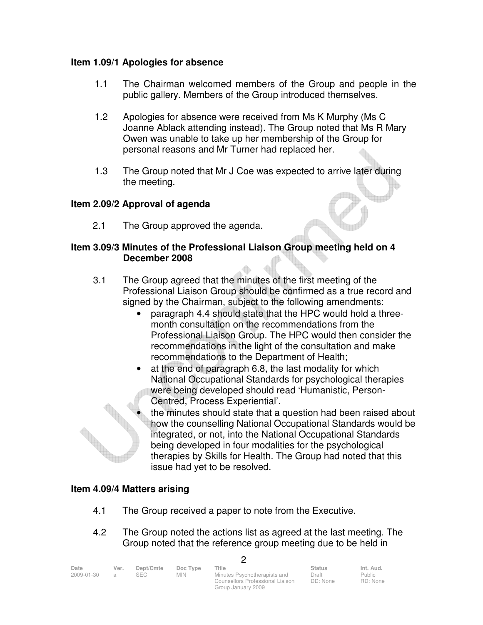#### **Item 1.09/1 Apologies for absence**

- 1.1 The Chairman welcomed members of the Group and people in the public gallery. Members of the Group introduced themselves.
- 1.2 Apologies for absence were received from Ms K Murphy (Ms C Joanne Ablack attending instead). The Group noted that Ms R Mary Owen was unable to take up her membership of the Group for personal reasons and Mr Turner had replaced her.
- 1.3 The Group noted that Mr J Coe was expected to arrive later during the meeting.

#### **Item 2.09/2 Approval of agenda**

2.1 The Group approved the agenda.

#### **Item 3.09/3 Minutes of the Professional Liaison Group meeting held on 4 December 2008**

- 3.1 The Group agreed that the minutes of the first meeting of the Professional Liaison Group should be confirmed as a true record and signed by the Chairman, subject to the following amendments:
	- paragraph 4.4 should state that the HPC would hold a threemonth consultation on the recommendations from the Professional Liaison Group. The HPC would then consider the recommendations in the light of the consultation and make recommendations to the Department of Health;
	- at the end of paragraph 6.8, the last modality for which National Occupational Standards for psychological therapies were being developed should read 'Humanistic, Person-Centred, Process Experiential'.
		- the minutes should state that a question had been raised about how the counselling National Occupational Standards would be integrated, or not, into the National Occupational Standards being developed in four modalities for the psychological therapies by Skills for Health. The Group had noted that this issue had yet to be resolved.

#### **Item 4.09/4 Matters arising**

- 4.1 The Group received a paper to note from the Executive.
- 4.2 The Group noted the actions list as agreed at the last meeting. The Group noted that the reference group meeting due to be held in

 $\Omega$ 

| Date       | Ver. | Dept/Cmte  | Doc Type   | Title                            | <b>Status</b> | Int. Aud. |
|------------|------|------------|------------|----------------------------------|---------------|-----------|
| 2009-01-30 |      | <b>SEC</b> | <b>MIN</b> | Minutes Psychotherapists and     | Draft         | Public    |
|            |      |            |            | Counsellors Professional Liaison | DD: None      | RD: None  |

Group January 2009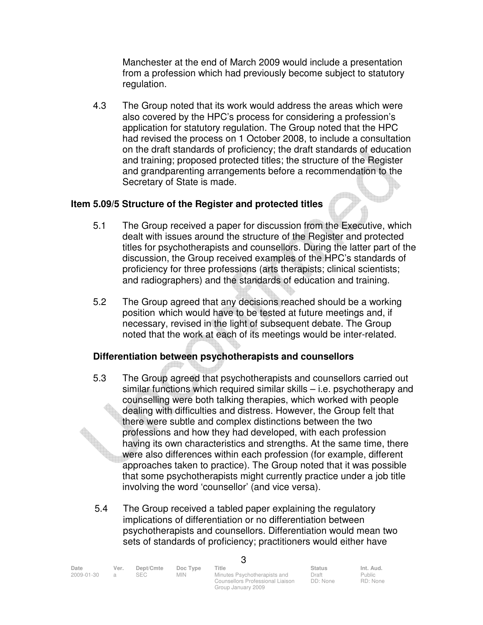Manchester at the end of March 2009 would include a presentation from a profession which had previously become subject to statutory regulation.

 4.3 The Group noted that its work would address the areas which were also covered by the HPC's process for considering a profession's application for statutory regulation. The Group noted that the HPC had revised the process on 1 October 2008, to include a consultation on the draft standards of proficiency; the draft standards of education and training; proposed protected titles; the structure of the Register and grandparenting arrangements before a recommendation to the Secretary of State is made.

#### **Item 5.09/5 Structure of the Register and protected titles**

- 5.1 The Group received a paper for discussion from the Executive, which dealt with issues around the structure of the Register and protected titles for psychotherapists and counsellors. During the latter part of the discussion, the Group received examples of the HPC's standards of proficiency for three professions (arts therapists; clinical scientists; and radiographers) and the standards of education and training.
- 5.2 The Group agreed that any decisions reached should be a working position which would have to be tested at future meetings and, if necessary, revised in the light of subsequent debate. The Group noted that the work at each of its meetings would be inter-related.

#### **Differentiation between psychotherapists and counsellors**

- 5.3 The Group agreed that psychotherapists and counsellors carried out similar functions which required similar skills – i.e. psychotherapy and counselling were both talking therapies, which worked with people dealing with difficulties and distress. However, the Group felt that there were subtle and complex distinctions between the two professions and how they had developed, with each profession having its own characteristics and strengths. At the same time, there were also differences within each profession (for example, different approaches taken to practice). The Group noted that it was possible that some psychotherapists might currently practice under a job title involving the word 'counsellor' (and vice versa).
- 5.4 The Group received a tabled paper explaining the regulatory implications of differentiation or no differentiation between psychotherapists and counsellors. Differentiation would mean two sets of standards of proficiency; practitioners would either have

| Date       | Ver. | Dept/Cmte  | Doc Type   | Title                            | <b>Status</b> | Int. Aud. |
|------------|------|------------|------------|----------------------------------|---------------|-----------|
| 2009-01-30 |      | <b>SEC</b> | <b>MIN</b> | Minutes Psychotherapists and     | Draft         | Public    |
|            |      |            |            | Counsellors Professional Liaison | DD: None      | RD: None  |

Group January 2009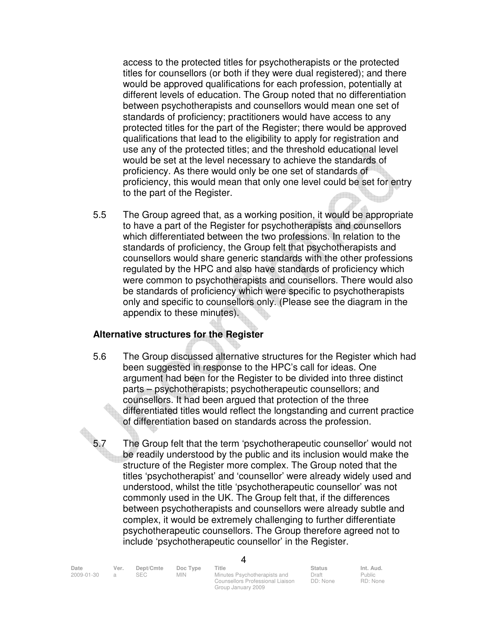access to the protected titles for psychotherapists or the protected titles for counsellors (or both if they were dual registered); and there would be approved qualifications for each profession, potentially at different levels of education. The Group noted that no differentiation between psychotherapists and counsellors would mean one set of standards of proficiency; practitioners would have access to any protected titles for the part of the Register; there would be approved qualifications that lead to the eligibility to apply for registration and use any of the protected titles; and the threshold educational level would be set at the level necessary to achieve the standards of proficiency. As there would only be one set of standards of proficiency, this would mean that only one level could be set for entry to the part of the Register.

 5.5 The Group agreed that, as a working position, it would be appropriate to have a part of the Register for psychotherapists and counsellors which differentiated between the two professions. In relation to the standards of proficiency, the Group felt that psychotherapists and counsellors would share generic standards with the other professions regulated by the HPC and also have standards of proficiency which were common to psychotherapists and counsellors. There would also be standards of proficiency which were specific to psychotherapists only and specific to counsellors only. (Please see the diagram in the appendix to these minutes).

#### **Alternative structures for the Register**

- 5.6 The Group discussed alternative structures for the Register which had been suggested in response to the HPC's call for ideas. One argument had been for the Register to be divided into three distinct parts – psychotherapists; psychotherapeutic counsellors; and counsellors. It had been argued that protection of the three differentiated titles would reflect the longstanding and current practice of differentiation based on standards across the profession.
- 5.7 The Group felt that the term 'psychotherapeutic counsellor' would not be readily understood by the public and its inclusion would make the structure of the Register more complex. The Group noted that the titles 'psychotherapist' and 'counsellor' were already widely used and understood, whilst the title 'psychotherapeutic counsellor' was not commonly used in the UK. The Group felt that, if the differences between psychotherapists and counsellors were already subtle and complex, it would be extremely challenging to further differentiate psychotherapeutic counsellors. The Group therefore agreed not to include 'psychotherapeutic counsellor' in the Register.

| Date       | Ver. | Dept/Cmte | Doc Type   | Title                                                            | <b>Status</b>     | Int. Aud.          |
|------------|------|-----------|------------|------------------------------------------------------------------|-------------------|--------------------|
| 2009-01-30 |      | SEC.      | <b>MIN</b> | Minutes Psychotherapists and<br>Counsellors Professional Liaison | Draft<br>DD: None | Public<br>RD: None |

Group January 2009

 $\lambda$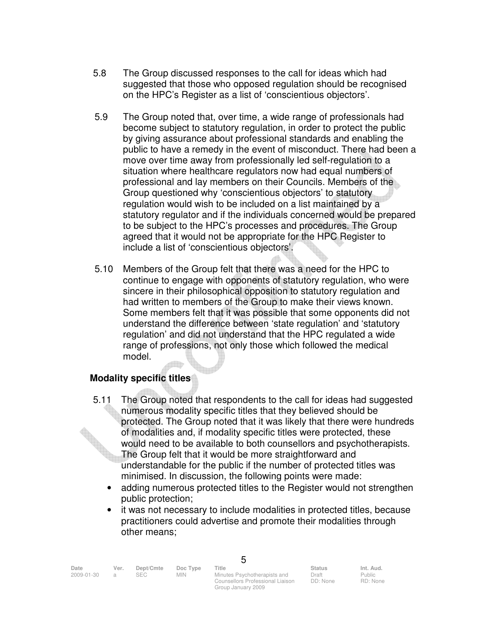- 5.8 The Group discussed responses to the call for ideas which had suggested that those who opposed regulation should be recognised on the HPC's Register as a list of 'conscientious objectors'.
- 5.9 The Group noted that, over time, a wide range of professionals had become subject to statutory regulation, in order to protect the public by giving assurance about professional standards and enabling the public to have a remedy in the event of misconduct. There had been a move over time away from professionally led self-regulation to a situation where healthcare regulators now had equal numbers of professional and lay members on their Councils. Members of the Group questioned why 'conscientious objectors' to statutory regulation would wish to be included on a list maintained by a statutory regulator and if the individuals concerned would be prepared to be subject to the HPC's processes and procedures. The Group agreed that it would not be appropriate for the HPC Register to include a list of 'conscientious objectors'.
- 5.10 Members of the Group felt that there was a need for the HPC to continue to engage with opponents of statutory regulation, who were sincere in their philosophical opposition to statutory regulation and had written to members of the Group to make their views known. Some members felt that it was possible that some opponents did not understand the difference between 'state regulation' and 'statutory regulation' and did not understand that the HPC regulated a wide range of professions, not only those which followed the medical model.

#### **Modality specific titles**

- 5.11 The Group noted that respondents to the call for ideas had suggested numerous modality specific titles that they believed should be protected. The Group noted that it was likely that there were hundreds of modalities and, if modality specific titles were protected, these would need to be available to both counsellors and psychotherapists. The Group felt that it would be more straightforward and understandable for the public if the number of protected titles was minimised. In discussion, the following points were made:
	- adding numerous protected titles to the Register would not strengthen public protection;
	- it was not necessary to include modalities in protected titles, because practitioners could advertise and promote their modalities through other means;

5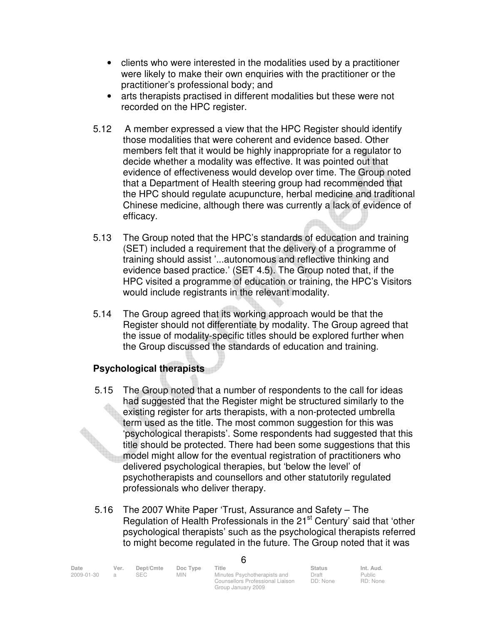- clients who were interested in the modalities used by a practitioner were likely to make their own enquiries with the practitioner or the practitioner's professional body; and
- arts therapists practised in different modalities but these were not recorded on the HPC register.
- 5.12 A member expressed a view that the HPC Register should identify those modalities that were coherent and evidence based. Other members felt that it would be highly inappropriate for a regulator to decide whether a modality was effective. It was pointed out that evidence of effectiveness would develop over time. The Group noted that a Department of Health steering group had recommended that the HPC should regulate acupuncture, herbal medicine and traditional Chinese medicine, although there was currently a lack of evidence of efficacy.
- 5.13 The Group noted that the HPC's standards of education and training (SET) included a requirement that the delivery of a programme of training should assist '...autonomous and reflective thinking and evidence based practice.' (SET 4.5). The Group noted that, if the HPC visited a programme of education or training, the HPC's Visitors would include registrants in the relevant modality.
- 5.14 The Group agreed that its working approach would be that the Register should not differentiate by modality. The Group agreed that the issue of modality-specific titles should be explored further when the Group discussed the standards of education and training.

# **Psychological therapists**

- 5.15 The Group noted that a number of respondents to the call for ideas had suggested that the Register might be structured similarly to the existing register for arts therapists, with a non-protected umbrella term used as the title. The most common suggestion for this was 'psychological therapists'. Some respondents had suggested that this title should be protected. There had been some suggestions that this model might allow for the eventual registration of practitioners who delivered psychological therapies, but 'below the level' of psychotherapists and counsellors and other statutorily regulated professionals who deliver therapy.
- 5.16 The 2007 White Paper 'Trust, Assurance and Safety The Regulation of Health Professionals in the 21<sup>st</sup> Century' said that 'other psychological therapists' such as the psychological therapists referred to might become regulated in the future. The Group noted that it was

| Date       | Ver. | Dept/Cmte | Doc Type | Title                            | <b>Status</b> | Int. Aud. |  |
|------------|------|-----------|----------|----------------------------------|---------------|-----------|--|
| 2009-01-30 |      | SEC.      | MIN.     | Minutes Psychotherapists and     | Draft         | Public    |  |
|            |      |           |          | Counsellors Professional Liaison | DD: None      | RD: None  |  |

Group January 2009

6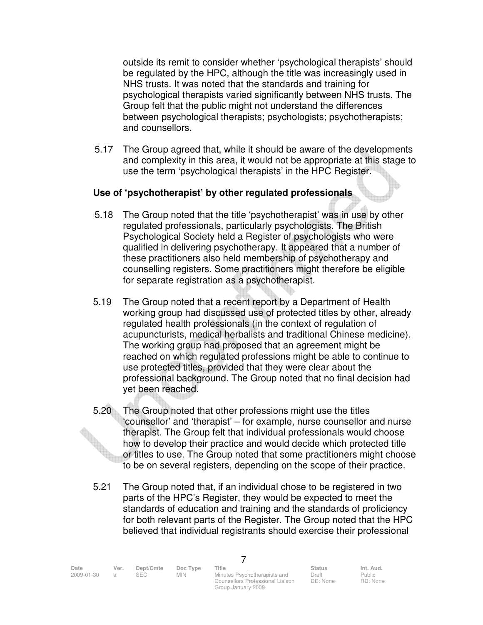outside its remit to consider whether 'psychological therapists' should be regulated by the HPC, although the title was increasingly used in NHS trusts. It was noted that the standards and training for psychological therapists varied significantly between NHS trusts. The Group felt that the public might not understand the differences between psychological therapists; psychologists; psychotherapists; and counsellors.

5.17 The Group agreed that, while it should be aware of the developments and complexity in this area, it would not be appropriate at this stage to use the term 'psychological therapists' in the HPC Register.

#### **Use of 'psychotherapist' by other regulated professionals**

- 5.18 The Group noted that the title 'psychotherapist' was in use by other regulated professionals, particularly psychologists. The British Psychological Society held a Register of psychologists who were qualified in delivering psychotherapy. It appeared that a number of these practitioners also held membership of psychotherapy and counselling registers. Some practitioners might therefore be eligible for separate registration as a psychotherapist.
- 5.19 The Group noted that a recent report by a Department of Health working group had discussed use of protected titles by other, already regulated health professionals (in the context of regulation of acupuncturists, medical herbalists and traditional Chinese medicine). The working group had proposed that an agreement might be reached on which regulated professions might be able to continue to use protected titles, provided that they were clear about the professional background. The Group noted that no final decision had yet been reached.
- 5.20 The Group noted that other professions might use the titles 'counsellor' and 'therapist' – for example, nurse counsellor and nurse therapist. The Group felt that individual professionals would choose how to develop their practice and would decide which protected title or titles to use. The Group noted that some practitioners might choose to be on several registers, depending on the scope of their practice.
- 5.21 The Group noted that, if an individual chose to be registered in two parts of the HPC's Register, they would be expected to meet the standards of education and training and the standards of proficiency for both relevant parts of the Register. The Group noted that the HPC believed that individual registrants should exercise their professional

Date Ver. Dept/Cmte Doc<sup>Type</sup> Title Status Status Int. Aud.

7

2009-01-30 a SEC MIN Minutes Psychotherapists and Counsellors Professional Liaison Group January 2009

Draft DD: None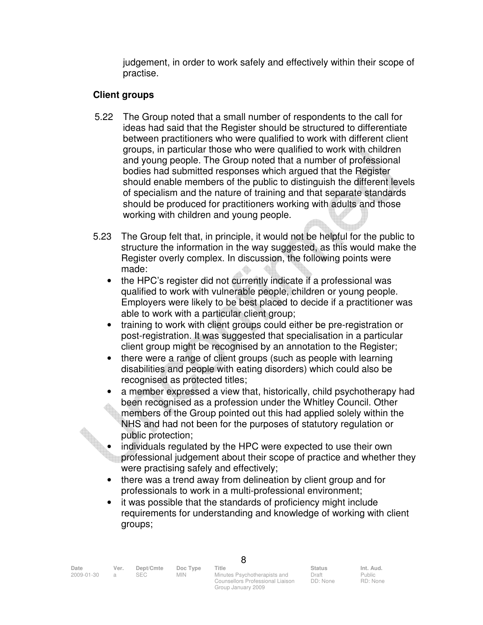judgement, in order to work safely and effectively within their scope of practise.

## **Client groups**

- 5.22 The Group noted that a small number of respondents to the call for ideas had said that the Register should be structured to differentiate between practitioners who were qualified to work with different client groups, in particular those who were qualified to work with children and young people. The Group noted that a number of professional bodies had submitted responses which argued that the Register should enable members of the public to distinguish the different levels of specialism and the nature of training and that separate standards should be produced for practitioners working with adults and those working with children and young people.
- 5.23 The Group felt that, in principle, it would not be helpful for the public to structure the information in the way suggested, as this would make the Register overly complex. In discussion, the following points were made:
	- the HPC's register did not currently indicate if a professional was qualified to work with vulnerable people, children or young people. Employers were likely to be best placed to decide if a practitioner was able to work with a particular client group;
	- training to work with client groups could either be pre-registration or post-registration. It was suggested that specialisation in a particular client group might be recognised by an annotation to the Register;
	- there were a range of client groups (such as people with learning disabilities and people with eating disorders) which could also be recognised as protected titles;
	- a member expressed a view that, historically, child psychotherapy had been recognised as a profession under the Whitley Council. Other members of the Group pointed out this had applied solely within the NHS and had not been for the purposes of statutory regulation or public protection;

• individuals regulated by the HPC were expected to use their own professional judgement about their scope of practice and whether they were practising safely and effectively;

- there was a trend away from delineation by client group and for professionals to work in a multi-professional environment;
- it was possible that the standards of proficiency might include requirements for understanding and knowledge of working with client groups;

| Date       | Ver. | Dept/Cmte | Doc Type   | Title                            | <b>Status</b> | Int. Aud. |
|------------|------|-----------|------------|----------------------------------|---------------|-----------|
| 2009-01-30 |      |           | <b>MIN</b> | Minutes Psychotherapists and     | Draft         | Public    |
|            |      |           |            | Counsellors Professional Liaison | DD: None      | RD: Non   |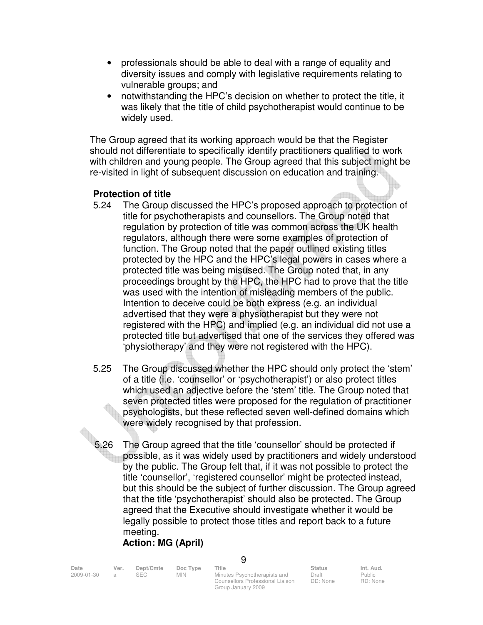- professionals should be able to deal with a range of equality and diversity issues and comply with legislative requirements relating to vulnerable groups; and
- notwithstanding the HPC's decision on whether to protect the title, it was likely that the title of child psychotherapist would continue to be widely used.

The Group agreed that its working approach would be that the Register should not differentiate to specifically identify practitioners qualified to work with children and young people. The Group agreed that this subject might be re-visited in light of subsequent discussion on education and training.

#### **Protection of title**

- 5.24 The Group discussed the HPC's proposed approach to protection of title for psychotherapists and counsellors. The Group noted that regulation by protection of title was common across the UK health regulators, although there were some examples of protection of function. The Group noted that the paper outlined existing titles protected by the HPC and the HPC's legal powers in cases where a protected title was being misused. The Group noted that, in any proceedings brought by the HPC, the HPC had to prove that the title was used with the intention of misleading members of the public. Intention to deceive could be both express (e.g. an individual advertised that they were a physiotherapist but they were not registered with the HPC) and implied (e.g. an individual did not use a protected title but advertised that one of the services they offered was 'physiotherapy' and they were not registered with the HPC).
- 5.25 The Group discussed whether the HPC should only protect the 'stem' of a title (i.e. 'counsellor' or 'psychotherapist') or also protect titles which used an adjective before the 'stem' title. The Group noted that seven protected titles were proposed for the regulation of practitioner psychologists, but these reflected seven well-defined domains which were widely recognised by that profession.
- 5.26 The Group agreed that the title 'counsellor' should be protected if possible, as it was widely used by practitioners and widely understood by the public. The Group felt that, if it was not possible to protect the title 'counsellor', 'registered counsellor' might be protected instead, but this should be the subject of further discussion. The Group agreed that the title 'psychotherapist' should also be protected. The Group agreed that the Executive should investigate whether it would be legally possible to protect those titles and report back to a future meeting.

# **Action: MG (April)**

| Ver. | Dept/Cmte | Doc Type   | Title                        | <b>Status</b>                    | Int. Aud.          |
|------|-----------|------------|------------------------------|----------------------------------|--------------------|
|      |           | <b>MIN</b> | Minutes Psychotherapists and | Draft                            | Public<br>RD: None |
|      |           |            |                              | Counsellors Professional Liaison | DD: None           |

Group January 2009

 $\Omega$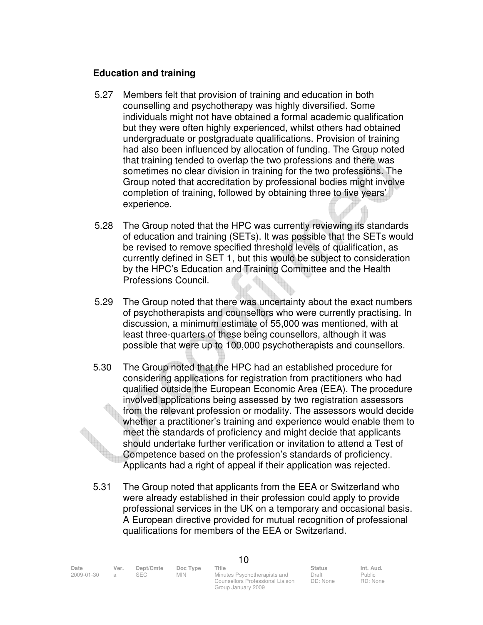#### **Education and training**

- 5.27 Members felt that provision of training and education in both counselling and psychotherapy was highly diversified. Some individuals might not have obtained a formal academic qualification but they were often highly experienced, whilst others had obtained undergraduate or postgraduate qualifications. Provision of training had also been influenced by allocation of funding. The Group noted that training tended to overlap the two professions and there was sometimes no clear division in training for the two professions. The Group noted that accreditation by professional bodies might involve completion of training, followed by obtaining three to five years' experience.
- 5.28 The Group noted that the HPC was currently reviewing its standards of education and training (SETs). It was possible that the SETs would be revised to remove specified threshold levels of qualification, as currently defined in SET 1, but this would be subject to consideration by the HPC's Education and Training Committee and the Health Professions Council.
- 5.29 The Group noted that there was uncertainty about the exact numbers of psychotherapists and counsellors who were currently practising. In discussion, a minimum estimate of 55,000 was mentioned, with at least three-quarters of these being counsellors, although it was possible that were up to 100,000 psychotherapists and counsellors.
- 5.30 The Group noted that the HPC had an established procedure for considering applications for registration from practitioners who had qualified outside the European Economic Area (EEA). The procedure involved applications being assessed by two registration assessors from the relevant profession or modality. The assessors would decide whether a practitioner's training and experience would enable them to meet the standards of proficiency and might decide that applicants should undertake further verification or invitation to attend a Test of Competence based on the profession's standards of proficiency. Applicants had a right of appeal if their application was rejected.
- 5.31 The Group noted that applicants from the EEA or Switzerland who were already established in their profession could apply to provide professional services in the UK on a temporary and occasional basis. A European directive provided for mutual recognition of professional qualifications for members of the EEA or Switzerland.

Date Ver. Dept/Cmte Doc<sup>Type</sup> Title Status Status Int. Aud.

10

2009-01-30 a SEC MIN Minutes Psychotherapists and Counsellors Professional Liaison Group January 2009

Draft DD: None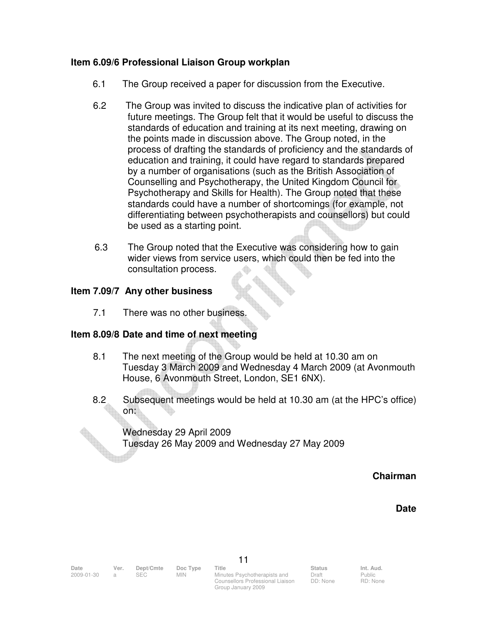#### **Item 6.09/6 Professional Liaison Group workplan**

- 6.1 The Group received a paper for discussion from the Executive.
- 6.2 The Group was invited to discuss the indicative plan of activities for future meetings. The Group felt that it would be useful to discuss the standards of education and training at its next meeting, drawing on the points made in discussion above. The Group noted, in the process of drafting the standards of proficiency and the standards of education and training, it could have regard to standards prepared by a number of organisations (such as the British Association of Counselling and Psychotherapy, the United Kingdom Council for Psychotherapy and Skills for Health). The Group noted that these standards could have a number of shortcomings (for example, not differentiating between psychotherapists and counsellors) but could be used as a starting point.
- 6.3 The Group noted that the Executive was considering how to gain wider views from service users, which could then be fed into the consultation process.

#### **Item 7.09/7 Any other business**

7.1 There was no other business.

#### **Item 8.09/8 Date and time of next meeting**

- 8.1 The next meeting of the Group would be held at 10.30 am on Tuesday 3 March 2009 and Wednesday 4 March 2009 (at Avonmouth House, 6 Avonmouth Street, London, SE1 6NX).
- 8.2 Subsequent meetings would be held at 10.30 am (at the HPC's office) on:

 Wednesday 29 April 2009 Tuesday 26 May 2009 and Wednesday 27 May 2009

**Chairman** 

#### **Date**

2009-01-30 a SEC MIN Minutes Psychotherapists and Counsellors Professional Liaison Group January 2009

Draft DD: None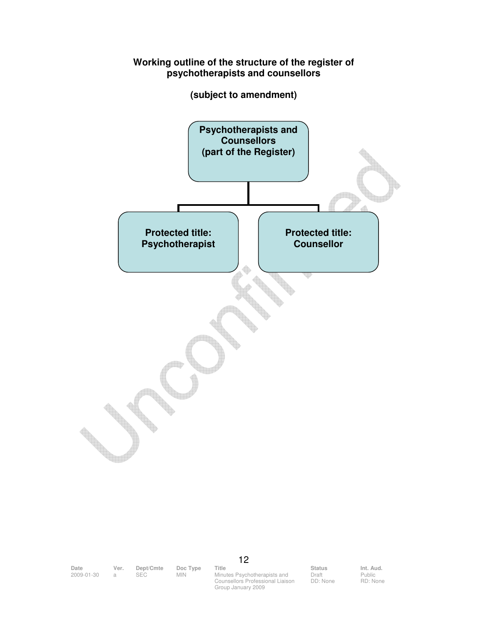#### **Working outline of the structure of the register of psychotherapists and counsellors**

**(subject to amendment)** 



Date Ver. Dept/Cmte Doc<sup>Type</sup> Title Status Status Int. Aud.

2009-01-30 a SEC MIN Minutes Psychotherapists and Counsellors Professional Liaison Group January 2009

12

Draft DD: None